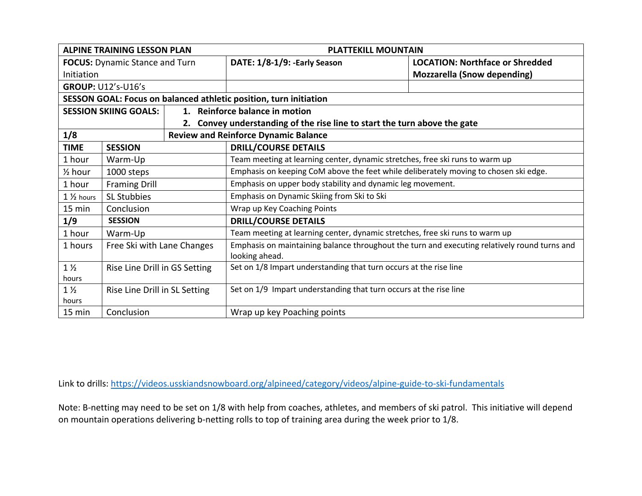| <b>ALPINE TRAINING LESSON PLAN</b>    |                               |  | <b>PLATTEKILL MOUNTAIN</b>                                                                                     |                                        |
|---------------------------------------|-------------------------------|--|----------------------------------------------------------------------------------------------------------------|----------------------------------------|
| <b>FOCUS:</b> Dynamic Stance and Turn |                               |  | DATE: 1/8-1/9: - Early Season                                                                                  | <b>LOCATION: Northface or Shredded</b> |
| Initiation                            |                               |  |                                                                                                                | <b>Mozzarella (Snow depending)</b>     |
|                                       | <b>GROUP: U12's-U16's</b>     |  |                                                                                                                |                                        |
|                                       |                               |  | SESSON GOAL: Focus on balanced athletic position, turn initiation                                              |                                        |
|                                       | <b>SESSION SKIING GOALS:</b>  |  | 1. Reinforce balance in motion                                                                                 |                                        |
|                                       |                               |  | 2. Convey understanding of the rise line to start the turn above the gate                                      |                                        |
| 1/8                                   |                               |  | <b>Review and Reinforce Dynamic Balance</b>                                                                    |                                        |
| <b>TIME</b>                           | <b>SESSION</b>                |  | <b>DRILL/COURSE DETAILS</b>                                                                                    |                                        |
| 1 hour                                | Warm-Up                       |  | Team meeting at learning center, dynamic stretches, free ski runs to warm up                                   |                                        |
| $\frac{1}{2}$ hour                    | 1000 steps                    |  | Emphasis on keeping CoM above the feet while deliberately moving to chosen ski edge.                           |                                        |
| 1 hour                                | <b>Framing Drill</b>          |  | Emphasis on upper body stability and dynamic leg movement.                                                     |                                        |
| $1\frac{1}{2}$ hours                  | <b>SL Stubbies</b>            |  | Emphasis on Dynamic Skiing from Ski to Ski                                                                     |                                        |
| $15 \text{ min}$                      | Conclusion                    |  | Wrap up Key Coaching Points                                                                                    |                                        |
| 1/9                                   | <b>SESSION</b>                |  | <b>DRILL/COURSE DETAILS</b>                                                                                    |                                        |
| 1 hour                                | Warm-Up                       |  | Team meeting at learning center, dynamic stretches, free ski runs to warm up                                   |                                        |
| 1 hours                               | Free Ski with Lane Changes    |  | Emphasis on maintaining balance throughout the turn and executing relatively round turns and<br>looking ahead. |                                        |
| $1\frac{1}{2}$<br>hours               | Rise Line Drill in GS Setting |  | Set on 1/8 Impart understanding that turn occurs at the rise line                                              |                                        |
| $1\frac{1}{2}$<br>hours               | Rise Line Drill in SL Setting |  | Set on 1/9 Impart understanding that turn occurs at the rise line                                              |                                        |
| 15 min                                | Conclusion                    |  | Wrap up key Poaching points                                                                                    |                                        |

Link to drills: https://videos.usskiandsnowboard.org/alpineed/category/videos/alpine-guide-to-ski-fundamentals

Note: B-netting may need to be set on 1/8 with help from coaches, athletes, and members of ski patrol. This initiative will depend on mountain operations delivering b-netting rolls to top of training area during the week prior to 1/8.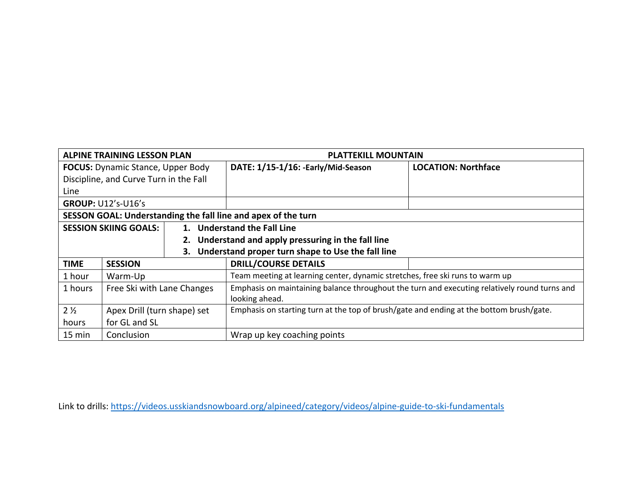| <b>ALPINE TRAINING LESSON PLAN</b>                            |                                        |  | <b>PLATTEKILL MOUNTAIN</b>                                                                   |                            |  |
|---------------------------------------------------------------|----------------------------------------|--|----------------------------------------------------------------------------------------------|----------------------------|--|
| <b>FOCUS:</b> Dynamic Stance, Upper Body                      |                                        |  | DATE: 1/15-1/16: -Early/Mid-Season                                                           | <b>LOCATION: Northface</b> |  |
|                                                               | Discipline, and Curve Turn in the Fall |  |                                                                                              |                            |  |
| Line                                                          |                                        |  |                                                                                              |                            |  |
|                                                               | <b>GROUP: U12's-U16's</b>              |  |                                                                                              |                            |  |
| SESSON GOAL: Understanding the fall line and apex of the turn |                                        |  |                                                                                              |                            |  |
| <b>SESSION SKIING GOALS:</b>                                  |                                        |  | 1. Understand the Fall Line                                                                  |                            |  |
|                                                               |                                        |  | 2. Understand and apply pressuring in the fall line                                          |                            |  |
| З.                                                            |                                        |  | Understand proper turn shape to Use the fall line                                            |                            |  |
| <b>TIME</b>                                                   | <b>SESSION</b>                         |  | <b>DRILL/COURSE DETAILS</b>                                                                  |                            |  |
| 1 hour                                                        | Warm-Up                                |  | Team meeting at learning center, dynamic stretches, free ski runs to warm up                 |                            |  |
| 1 hours                                                       | Free Ski with Lane Changes             |  | Emphasis on maintaining balance throughout the turn and executing relatively round turns and |                            |  |
|                                                               |                                        |  | looking ahead.                                                                               |                            |  |
| 2 <sub>2</sub>                                                | Apex Drill (turn shape) set            |  | Emphasis on starting turn at the top of brush/gate and ending at the bottom brush/gate.      |                            |  |
| for GL and SL<br>hours                                        |                                        |  |                                                                                              |                            |  |
| 15 min<br>Conclusion                                          |                                        |  | Wrap up key coaching points                                                                  |                            |  |

Link to drills: https://videos.usskiandsnowboard.org/alpineed/category/videos/alpine-guide-to-ski-fundamentals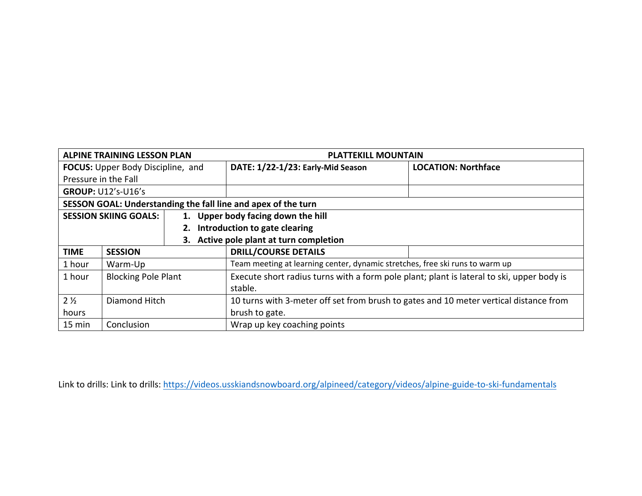| <b>ALPINE TRAINING LESSON PLAN</b>       |                              |  | <b>PLATTEKILL MOUNTAIN</b>                                                                |                            |
|------------------------------------------|------------------------------|--|-------------------------------------------------------------------------------------------|----------------------------|
| <b>FOCUS:</b> Upper Body Discipline, and |                              |  | DATE: 1/22-1/23: Early-Mid Season                                                         | <b>LOCATION: Northface</b> |
| Pressure in the Fall                     |                              |  |                                                                                           |                            |
|                                          | <b>GROUP: U12's-U16's</b>    |  |                                                                                           |                            |
|                                          |                              |  | SESSON GOAL: Understanding the fall line and apex of the turn                             |                            |
|                                          | <b>SESSION SKIING GOALS:</b> |  | 1. Upper body facing down the hill                                                        |                            |
|                                          |                              |  | Introduction to gate clearing                                                             |                            |
|                                          |                              |  | 3. Active pole plant at turn completion                                                   |                            |
| <b>TIME</b>                              | <b>SESSION</b>               |  | <b>DRILL/COURSE DETAILS</b>                                                               |                            |
| 1 hour                                   | Warm-Up                      |  | Team meeting at learning center, dynamic stretches, free ski runs to warm up              |                            |
| 1 hour                                   | <b>Blocking Pole Plant</b>   |  | Execute short radius turns with a form pole plant; plant is lateral to ski, upper body is |                            |
|                                          |                              |  | stable.                                                                                   |                            |
| $2\frac{1}{2}$<br>Diamond Hitch          |                              |  | 10 turns with 3-meter off set from brush to gates and 10 meter vertical distance from     |                            |
| hours                                    |                              |  | brush to gate.                                                                            |                            |
| 15 min<br>Conclusion                     |                              |  | Wrap up key coaching points                                                               |                            |

Link to drills: Link to drills: https://videos.usskiandsnowboard.org/alpineed/category/videos/alpine-guide-to-ski-fundamentals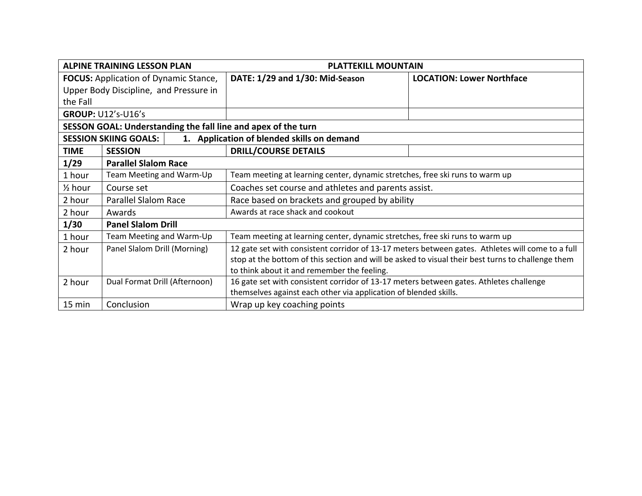| <b>ALPINE TRAINING LESSON PLAN</b>           |                                                               | <b>PLATTEKILL MOUNTAIN</b>                                                                        |                                  |
|----------------------------------------------|---------------------------------------------------------------|---------------------------------------------------------------------------------------------------|----------------------------------|
| <b>FOCUS:</b> Application of Dynamic Stance, |                                                               | DATE: 1/29 and 1/30: Mid-Season                                                                   | <b>LOCATION: Lower Northface</b> |
|                                              | Upper Body Discipline, and Pressure in                        |                                                                                                   |                                  |
| the Fall                                     |                                                               |                                                                                                   |                                  |
|                                              | <b>GROUP: U12's-U16's</b>                                     |                                                                                                   |                                  |
|                                              | SESSON GOAL: Understanding the fall line and apex of the turn |                                                                                                   |                                  |
|                                              | <b>SESSION SKIING GOALS:</b>                                  | 1. Application of blended skills on demand                                                        |                                  |
| <b>TIME</b>                                  | <b>SESSION</b>                                                | <b>DRILL/COURSE DETAILS</b>                                                                       |                                  |
| 1/29                                         | <b>Parallel Slalom Race</b>                                   |                                                                                                   |                                  |
| 1 hour                                       | Team Meeting and Warm-Up                                      | Team meeting at learning center, dynamic stretches, free ski runs to warm up                      |                                  |
| $\frac{1}{2}$ hour                           | Course set                                                    | Coaches set course and athletes and parents assist.                                               |                                  |
| 2 hour                                       | <b>Parallel Slalom Race</b>                                   | Race based on brackets and grouped by ability                                                     |                                  |
| 2 hour                                       | Awards                                                        | Awards at race shack and cookout                                                                  |                                  |
| 1/30                                         | <b>Panel Slalom Drill</b>                                     |                                                                                                   |                                  |
| 1 hour                                       | Team Meeting and Warm-Up                                      | Team meeting at learning center, dynamic stretches, free ski runs to warm up                      |                                  |
| 2 hour                                       | Panel Slalom Drill (Morning)                                  | 12 gate set with consistent corridor of 13-17 meters between gates. Athletes will come to a full  |                                  |
|                                              |                                                               | stop at the bottom of this section and will be asked to visual their best turns to challenge them |                                  |
|                                              |                                                               | to think about it and remember the feeling.                                                       |                                  |
| 2 hour                                       | Dual Format Drill (Afternoon)                                 | 16 gate set with consistent corridor of 13-17 meters between gates. Athletes challenge            |                                  |
|                                              |                                                               | themselves against each other via application of blended skills.                                  |                                  |
| 15 min                                       | Conclusion                                                    | Wrap up key coaching points                                                                       |                                  |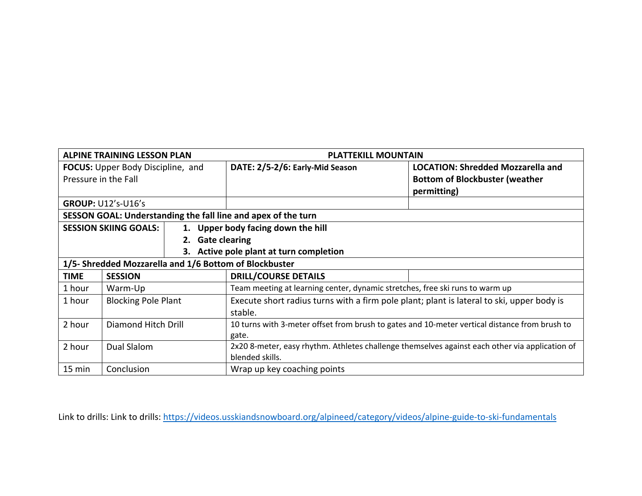|                                                        | <b>ALPINE TRAINING LESSON PLAN</b> |                  | <b>PLATTEKILL MOUNTAIN</b>                                                                     |                                          |
|--------------------------------------------------------|------------------------------------|------------------|------------------------------------------------------------------------------------------------|------------------------------------------|
| <b>FOCUS:</b> Upper Body Discipline, and               |                                    |                  | DATE: 2/5-2/6: Early-Mid Season                                                                | <b>LOCATION: Shredded Mozzarella and</b> |
|                                                        | Pressure in the Fall               |                  |                                                                                                | <b>Bottom of Blockbuster (weather</b>    |
|                                                        |                                    |                  |                                                                                                | permitting)                              |
|                                                        | <b>GROUP: U12's-U16's</b>          |                  |                                                                                                |                                          |
|                                                        |                                    |                  | SESSON GOAL: Understanding the fall line and apex of the turn                                  |                                          |
|                                                        | <b>SESSION SKIING GOALS:</b>       |                  | 1. Upper body facing down the hill                                                             |                                          |
|                                                        |                                    | 2. Gate clearing |                                                                                                |                                          |
|                                                        |                                    |                  | 3. Active pole plant at turn completion                                                        |                                          |
| 1/5- Shredded Mozzarella and 1/6 Bottom of Blockbuster |                                    |                  |                                                                                                |                                          |
| <b>TIME</b>                                            | <b>SESSION</b>                     |                  | <b>DRILL/COURSE DETAILS</b>                                                                    |                                          |
| 1 hour                                                 | Warm-Up                            |                  | Team meeting at learning center, dynamic stretches, free ski runs to warm up                   |                                          |
| 1 hour                                                 | <b>Blocking Pole Plant</b>         |                  | Execute short radius turns with a firm pole plant; plant is lateral to ski, upper body is      |                                          |
|                                                        |                                    |                  | stable.                                                                                        |                                          |
| 2 hour<br>Diamond Hitch Drill                          |                                    |                  | 10 turns with 3-meter offset from brush to gates and 10-meter vertical distance from brush to  |                                          |
|                                                        |                                    |                  | gate.                                                                                          |                                          |
| 2 hour<br>Dual Slalom                                  |                                    |                  | 2x20 8-meter, easy rhythm. Athletes challenge themselves against each other via application of |                                          |
|                                                        |                                    |                  | blended skills.                                                                                |                                          |
| $15 \text{ min}$<br>Conclusion                         |                                    |                  | Wrap up key coaching points                                                                    |                                          |

Link to drills: Link to drills: https://videos.usskiandsnowboard.org/alpineed/category/videos/alpine-guide-to-ski-fundamentals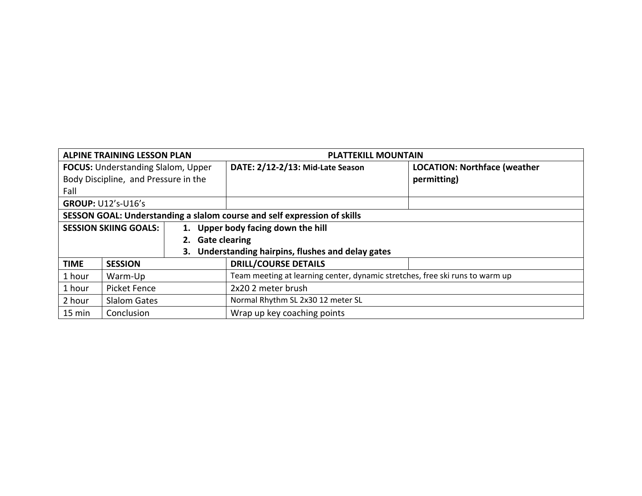| <b>ALPINE TRAINING LESSON PLAN</b>                                       |                           |                            | <b>PLATTEKILL MOUNTAIN</b>                                                   |                                     |
|--------------------------------------------------------------------------|---------------------------|----------------------------|------------------------------------------------------------------------------|-------------------------------------|
| <b>FOCUS:</b> Understanding Slalom, Upper                                |                           |                            | DATE: 2/12-2/13: Mid-Late Season                                             | <b>LOCATION: Northface (weather</b> |
| Body Discipline, and Pressure in the                                     |                           |                            |                                                                              | permitting)                         |
| Fall                                                                     |                           |                            |                                                                              |                                     |
|                                                                          | <b>GROUP: U12's-U16's</b> |                            |                                                                              |                                     |
| SESSON GOAL: Understanding a slalom course and self expression of skills |                           |                            |                                                                              |                                     |
| <b>SESSION SKIING GOALS:</b>                                             |                           |                            | 1. Upper body facing down the hill                                           |                                     |
|                                                                          |                           | <b>Gate clearing</b><br>2. |                                                                              |                                     |
|                                                                          |                           |                            | Understanding hairpins, flushes and delay gates                              |                                     |
| <b>TIME</b>                                                              | <b>SESSION</b>            |                            | <b>DRILL/COURSE DETAILS</b>                                                  |                                     |
| 1 hour                                                                   | Warm-Up                   |                            | Team meeting at learning center, dynamic stretches, free ski runs to warm up |                                     |
| 1 hour<br>Picket Fence                                                   |                           |                            | 2x20 2 meter brush                                                           |                                     |
| 2 hour<br><b>Slalom Gates</b>                                            |                           |                            | Normal Rhythm SL 2x30 12 meter SL                                            |                                     |
| 15 min<br>Conclusion                                                     |                           |                            | Wrap up key coaching points                                                  |                                     |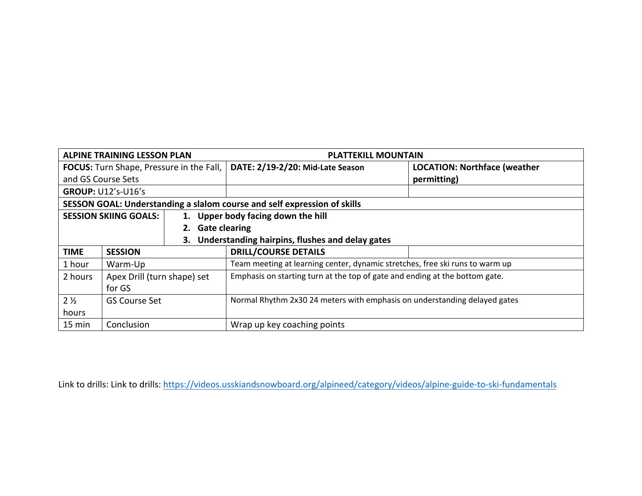| <b>ALPINE TRAINING LESSON PLAN</b>              |                              |                  | <b>PLATTEKILL MOUNTAIN</b>                                                   |                                     |
|-------------------------------------------------|------------------------------|------------------|------------------------------------------------------------------------------|-------------------------------------|
| <b>FOCUS:</b> Turn Shape, Pressure in the Fall, |                              |                  | DATE: 2/19-2/20: Mid-Late Season                                             | <b>LOCATION: Northface (weather</b> |
| and GS Course Sets                              |                              |                  |                                                                              | permitting)                         |
|                                                 | <b>GROUP: U12's-U16's</b>    |                  |                                                                              |                                     |
|                                                 |                              |                  | SESSON GOAL: Understanding a slalom course and self expression of skills     |                                     |
|                                                 | <b>SESSION SKIING GOALS:</b> |                  | 1. Upper body facing down the hill                                           |                                     |
|                                                 |                              | 2. Gate clearing |                                                                              |                                     |
| 3.                                              |                              |                  | Understanding hairpins, flushes and delay gates                              |                                     |
| <b>TIME</b>                                     | <b>SESSION</b>               |                  | <b>DRILL/COURSE DETAILS</b>                                                  |                                     |
| 1 hour                                          | Warm-Up                      |                  | Team meeting at learning center, dynamic stretches, free ski runs to warm up |                                     |
| 2 hours                                         | Apex Drill (turn shape) set  |                  | Emphasis on starting turn at the top of gate and ending at the bottom gate.  |                                     |
| for GS                                          |                              |                  |                                                                              |                                     |
| $2\frac{1}{2}$<br><b>GS Course Set</b>          |                              |                  | Normal Rhythm 2x30 24 meters with emphasis on understanding delayed gates    |                                     |
| hours                                           |                              |                  |                                                                              |                                     |
| 15 min<br>Conclusion                            |                              |                  | Wrap up key coaching points                                                  |                                     |

Link to drills: Link to drills: https://videos.usskiandsnowboard.org/alpineed/category/videos/alpine-guide-to-ski-fundamentals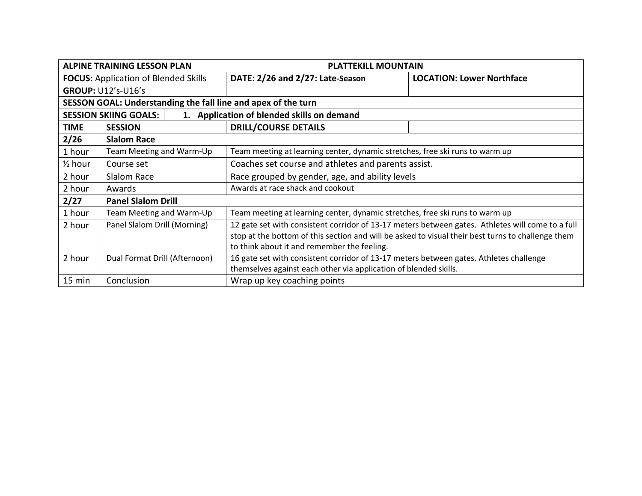| <b>ALPINE TRAINING LESSON PLAN</b>          |                                                               | <b>PLATTEKILL MOUNTAIN</b>                                                                                                                                                                                                                           |                                  |
|---------------------------------------------|---------------------------------------------------------------|------------------------------------------------------------------------------------------------------------------------------------------------------------------------------------------------------------------------------------------------------|----------------------------------|
| <b>FOCUS:</b> Application of Blended Skills |                                                               | DATE: 2/26 and 2/27: Late-Season                                                                                                                                                                                                                     | <b>LOCATION: Lower Northface</b> |
|                                             | <b>GROUP: U12's-U16's</b>                                     |                                                                                                                                                                                                                                                      |                                  |
|                                             | SESSON GOAL: Understanding the fall line and apex of the turn |                                                                                                                                                                                                                                                      |                                  |
|                                             | <b>SESSION SKIING GOALS:</b>                                  | 1. Application of blended skills on demand                                                                                                                                                                                                           |                                  |
| <b>TIME</b>                                 | <b>SESSION</b>                                                | <b>DRILL/COURSE DETAILS</b>                                                                                                                                                                                                                          |                                  |
| 2/26                                        | <b>Slalom Race</b>                                            |                                                                                                                                                                                                                                                      |                                  |
| 1 hour                                      | Team Meeting and Warm-Up                                      | Team meeting at learning center, dynamic stretches, free ski runs to warm up                                                                                                                                                                         |                                  |
| $\frac{1}{2}$ hour                          | Course set                                                    | Coaches set course and athletes and parents assist.                                                                                                                                                                                                  |                                  |
| 2 hour                                      | Slalom Race                                                   | Race grouped by gender, age, and ability levels                                                                                                                                                                                                      |                                  |
| 2 hour                                      | Awards                                                        | Awards at race shack and cookout                                                                                                                                                                                                                     |                                  |
| 2/27                                        | <b>Panel Slalom Drill</b>                                     |                                                                                                                                                                                                                                                      |                                  |
| 1 hour                                      | Team Meeting and Warm-Up                                      | Team meeting at learning center, dynamic stretches, free ski runs to warm up                                                                                                                                                                         |                                  |
| 2 hour                                      | Panel Slalom Drill (Morning)                                  | 12 gate set with consistent corridor of 13-17 meters between gates. Athletes will come to a full<br>stop at the bottom of this section and will be asked to visual their best turns to challenge them<br>to think about it and remember the feeling. |                                  |
| 2 hour<br>Dual Format Drill (Afternoon)     |                                                               | 16 gate set with consistent corridor of 13-17 meters between gates. Athletes challenge<br>themselves against each other via application of blended skills.                                                                                           |                                  |
| 15 min                                      | Conclusion                                                    | Wrap up key coaching points                                                                                                                                                                                                                          |                                  |